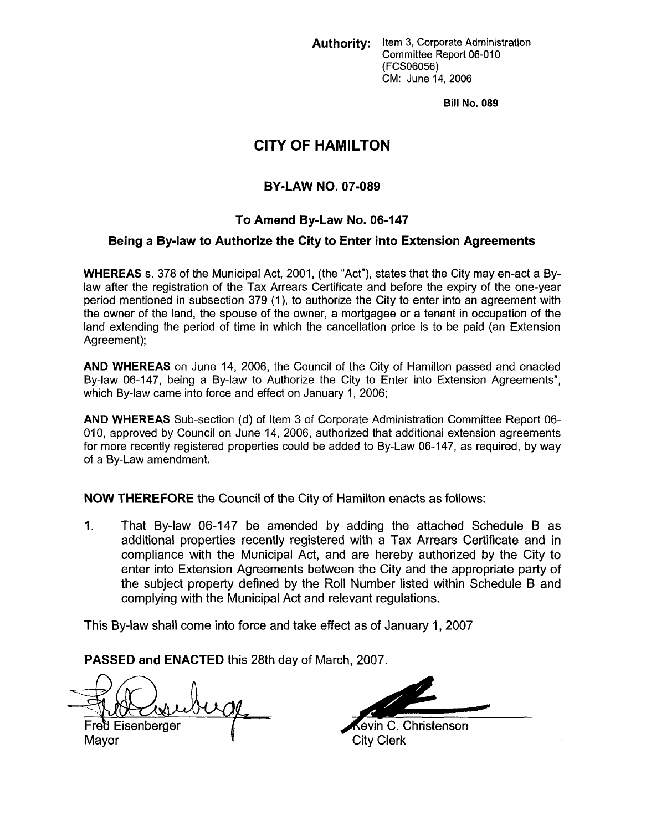**Authority:** Item **3,** Corporate Administration Committee Report 06-010 (FCSO6056) CM: June 14,2006

**Bill No. 089** 

# **CITY OF HAMILTON**

# **BY-LAW NO. 07-089**

# **To Amend By-Law No. 06-147**

### **Being a Bylaw to Authorize the City to Enter into Extension Agreements**

**WHEREAS** s. 378 of the Municipal Act, 2001, (the "Act"), states that the City may en-act a Bylaw after the registration of the Tax Arrears Certificate and before the expiry of the one-year period mentioned in subsection 379 (I), to authorize the City to enter into an agreement with the owner of the land, the spouse of the owner, a mortgagee or a tenant in occupation of the land extending the period of time in which the cancellation price is to be paid (an Extension Agreement);

**AND WHEREAS** on June 14, 2006, the Council of the City of Hamilton passed and enacted By-law 06-147, being a By-law to Authorize the City to Enter into Extension Agreements", which By-law came into force and effect on January 1, 2006;

**AND WHEREAS** Sub-section (d) of Item 3 of Corporate Administration Committee Report 06- 010, approved by Council on June 14, 2006, authorized that additional extension agreements for more recently registered properties could be added to By-Law 06-147, as required, by way of a By-Law amendment.

**NOW THEREFORE** the Council of the City of Hamilton enacts as follows:

1. That By-law 06-147 be amended by adding the attached Schedule **B** as additional properties recently registered with a **Tax** Arrears Certificate and in compliance with the Municipal Act, and are hereby authorized by the City to enter into Extension Agreements between the City and the appropriate party of the subject property defined by the Roll Number listed within Schedule **B** and complying with the Municipal Act and relevant regulations.

This By-law shall come into force and take effect as of January 1, 2007

**PASSED and ENACTED** this 28th day of March, 2007.

Fred Eisenberger Mayor

**Kevin C. Christenson** 

City Clerk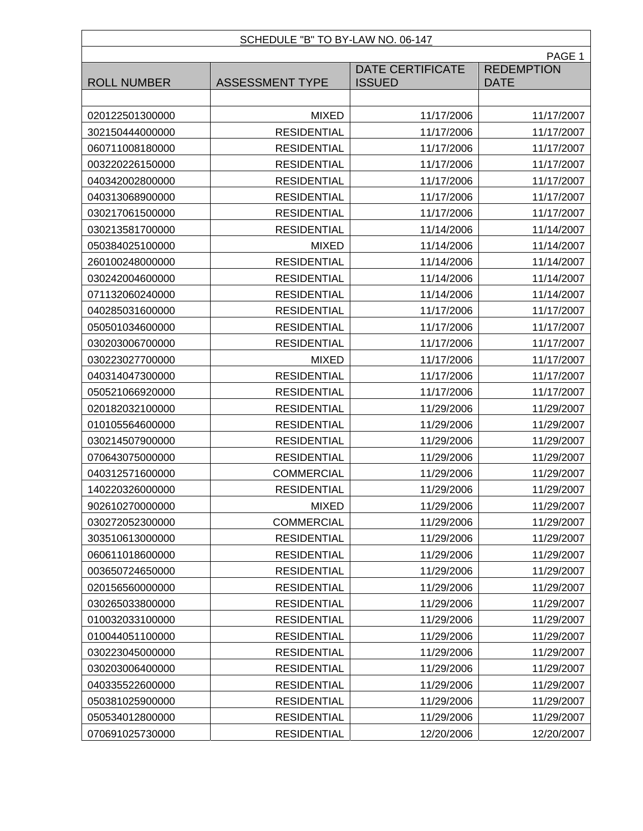### SCHEDULE "B" TO BY-LAW NO. 06-147

|                    | PAGE 1                 |                                          |                                  |  |
|--------------------|------------------------|------------------------------------------|----------------------------------|--|
| <b>ROLL NUMBER</b> | <b>ASSESSMENT TYPE</b> | <b>DATE CERTIFICATE</b><br><b>ISSUED</b> | <b>REDEMPTION</b><br><b>DATE</b> |  |
|                    |                        |                                          |                                  |  |
| 020122501300000    | <b>MIXED</b>           | 11/17/2006                               | 11/17/2007                       |  |
| 302150444000000    | <b>RESIDENTIAL</b>     | 11/17/2006                               | 11/17/2007                       |  |
| 060711008180000    | <b>RESIDENTIAL</b>     | 11/17/2006                               | 11/17/2007                       |  |
| 003220226150000    | <b>RESIDENTIAL</b>     | 11/17/2006                               | 11/17/2007                       |  |
| 040342002800000    | <b>RESIDENTIAL</b>     | 11/17/2006                               | 11/17/2007                       |  |
| 040313068900000    | <b>RESIDENTIAL</b>     | 11/17/2006                               | 11/17/2007                       |  |
| 030217061500000    | <b>RESIDENTIAL</b>     | 11/17/2006                               | 11/17/2007                       |  |
| 030213581700000    | <b>RESIDENTIAL</b>     | 11/14/2006                               | 11/14/2007                       |  |
| 050384025100000    | <b>MIXED</b>           | 11/14/2006                               | 11/14/2007                       |  |
| 260100248000000    | <b>RESIDENTIAL</b>     | 11/14/2006                               | 11/14/2007                       |  |
| 030242004600000    | <b>RESIDENTIAL</b>     | 11/14/2006                               | 11/14/2007                       |  |
| 071132060240000    | <b>RESIDENTIAL</b>     | 11/14/2006                               | 11/14/2007                       |  |
| 040285031600000    | <b>RESIDENTIAL</b>     | 11/17/2006                               | 11/17/2007                       |  |
| 050501034600000    | <b>RESIDENTIAL</b>     | 11/17/2006                               | 11/17/2007                       |  |
| 030203006700000    | <b>RESIDENTIAL</b>     | 11/17/2006                               | 11/17/2007                       |  |
| 030223027700000    | <b>MIXED</b>           | 11/17/2006                               | 11/17/2007                       |  |
| 040314047300000    | <b>RESIDENTIAL</b>     | 11/17/2006                               | 11/17/2007                       |  |
| 050521066920000    | <b>RESIDENTIAL</b>     | 11/17/2006                               | 11/17/2007                       |  |
| 020182032100000    | <b>RESIDENTIAL</b>     | 11/29/2006                               | 11/29/2007                       |  |
| 010105564600000    | <b>RESIDENTIAL</b>     | 11/29/2006                               | 11/29/2007                       |  |
| 030214507900000    | <b>RESIDENTIAL</b>     | 11/29/2006                               | 11/29/2007                       |  |
| 070643075000000    | <b>RESIDENTIAL</b>     | 11/29/2006                               | 11/29/2007                       |  |
| 040312571600000    | <b>COMMERCIAL</b>      | 11/29/2006                               | 11/29/2007                       |  |
| 140220326000000    | <b>RESIDENTIAL</b>     | 11/29/2006                               | 11/29/2007                       |  |
| 902610270000000    | <b>MIXED</b>           | 11/29/2006                               | 11/29/2007                       |  |
| 030272052300000    | <b>COMMERCIAL</b>      | 11/29/2006                               | 11/29/2007                       |  |
| 303510613000000    | <b>RESIDENTIAL</b>     | 11/29/2006                               | 11/29/2007                       |  |
| 060611018600000    | <b>RESIDENTIAL</b>     | 11/29/2006                               | 11/29/2007                       |  |
| 003650724650000    | <b>RESIDENTIAL</b>     | 11/29/2006                               | 11/29/2007                       |  |
| 020156560000000    | <b>RESIDENTIAL</b>     | 11/29/2006                               | 11/29/2007                       |  |
| 030265033800000    | <b>RESIDENTIAL</b>     | 11/29/2006                               | 11/29/2007                       |  |
| 010032033100000    | <b>RESIDENTIAL</b>     | 11/29/2006                               | 11/29/2007                       |  |
| 010044051100000    | <b>RESIDENTIAL</b>     | 11/29/2006                               | 11/29/2007                       |  |
| 030223045000000    | <b>RESIDENTIAL</b>     | 11/29/2006                               | 11/29/2007                       |  |
| 030203006400000    | <b>RESIDENTIAL</b>     | 11/29/2006                               | 11/29/2007                       |  |
| 040335522600000    | <b>RESIDENTIAL</b>     | 11/29/2006                               | 11/29/2007                       |  |
| 050381025900000    | <b>RESIDENTIAL</b>     | 11/29/2006                               | 11/29/2007                       |  |
| 050534012800000    | <b>RESIDENTIAL</b>     | 11/29/2006                               | 11/29/2007                       |  |
| 070691025730000    | <b>RESIDENTIAL</b>     | 12/20/2006                               | 12/20/2007                       |  |